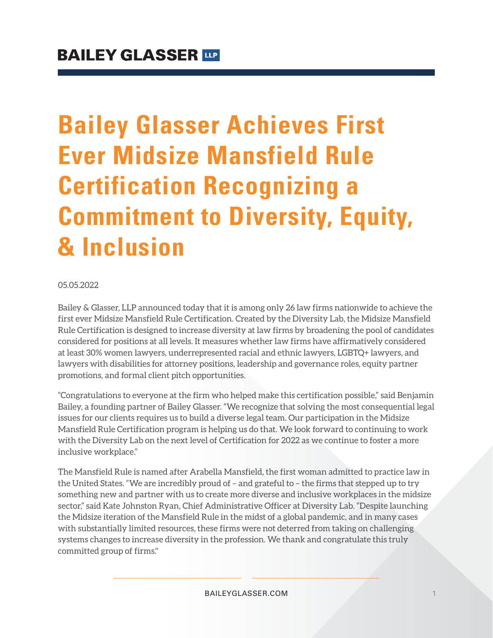# **Bailey Glasser Achieves First Ever Midsize Mansfield Rule Certification Recognizing a Commitment to Diversity, Equity, & Inclusion**

#### 05.05.2022

Bailey & Glasser, LLP announced today that it is among only 26 law firms nationwide to achieve the first ever Midsize Mansfield Rule Certification. Created by the Diversity Lab, the Midsize Mansfield Rule Certification is designed to increase diversity at law firms by broadening the pool of candidates considered for positions at all levels. It measures whether law firms have affirmatively considered at least 30% women lawyers, underrepresented racial and ethnic lawyers, LGBTQ+ lawyers, and lawyers with disabilities for attorney positions, leadership and governance roles, equity partner promotions, and formal client pitch opportunities.

"Congratulations to everyone at the firm who helped make this certification possible," said Benjamin Bailey, a founding partner of Bailey Glasser. "We recognize that solving the most consequential legal issues for our clients requires us to build a diverse legal team. Our participation in the Midsize Mansfield Rule Certification program is helping us do that. We look forward to continuing to work with the Diversity Lab on the next level of Certification for 2022 as we continue to foster a more inclusive workplace."

The Mansfield Rule is named after Arabella Mansfield, the first woman admitted to practice law in the United States. "We are incredibly proud of – and grateful to – the firms that stepped up to try something new and partner with us to create more diverse and inclusive workplaces in the midsize sector," said Kate Johnston Ryan, Chief Administrative Officer at Diversity Lab. "Despite launching the Midsize iteration of the Mansfield Rule in the midst of a global pandemic, and in many cases with substantially limited resources, these firms were not deterred from taking on challenging systems changes to increase diversity in the profession. We thank and congratulate this truly committed group of firms."